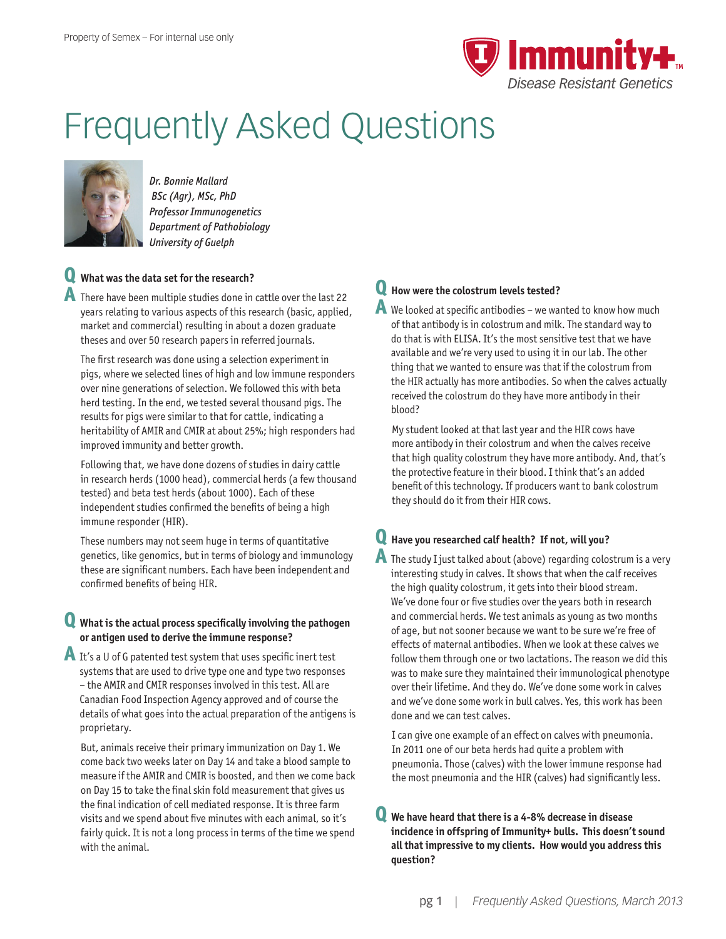

# Frequently Asked Questions



*Dr. Bonnie Mallard BSc (Agr), MSc, PhD Professor Immunogenetics Department of Pathobiology University of Guelph*

# **Q What was the data set for the research?**

**A** There have been multiple studies done in cattle over the last 22 years relating to various aspects of this research (basic, applied, market and commercial) resulting in about a dozen graduate theses and over 50 research papers in referred journals.

The first research was done using a selection experiment in pigs, where we selected lines of high and low immune responders over nine generations of selection. We followed this with beta herd testing. In the end, we tested several thousand pigs. The results for pigs were similar to that for cattle, indicating a heritability of AMIR and CMIR at about 25%; high responders had improved immunity and better growth.

Following that, we have done dozens of studies in dairy cattle in research herds (1000 head), commercial herds (a few thousand tested) and beta test herds (about 1000). Each of these independent studies confirmed the benefits of being a high immune responder (HIR).

These numbers may not seem huge in terms of quantitative genetics, like genomics, but in terms of biology and immunology these are significant numbers. Each have been independent and confirmed benefits of being HIR.

#### **Q What is the actual process specifically involving the pathogen or antigen used to derive the immune response?**

**A** It's a U of G patented test system that uses specific inert test systems that are used to drive type one and type two responses – the AMIR and CMIR responses involved in this test. All are Canadian Food Inspection Agency approved and of course the details of what goes into the actual preparation of the antigens is proprietary.

But, animals receive their primary immunization on Day 1. We come back two weeks later on Day 14 and take a blood sample to measure if the AMIR and CMIR is boosted, and then we come back on Day 15 to take the final skin fold measurement that gives us the final indication of cell mediated response. It is three farm visits and we spend about five minutes with each animal, so it's fairly quick. It is not a long process in terms of the time we spend with the animal.

# **Q How were the colostrum levels tested?**

**A** We looked at specific antibodies – we wanted to know how much of that antibody is in colostrum and milk. The standard way to do that is with ELISA. It's the most sensitive test that we have available and we're very used to using it in our lab. The other thing that we wanted to ensure was that if the colostrum from the HIR actually has more antibodies. So when the calves actually received the colostrum do they have more antibody in their blood?

My student looked at that last year and the HIR cows have more antibody in their colostrum and when the calves receive that high quality colostrum they have more antibody. And, that's the protective feature in their blood. I think that's an added benefit of this technology. If producers want to bank colostrum they should do it from their HIR cows.

# **Q Have you researched calf health? If not, will you?**

**A** The study I just talked about (above) regarding colostrum is a very interesting study in calves. It shows that when the calf receives the high quality colostrum, it gets into their blood stream. We've done four or five studies over the years both in research and commercial herds. We test animals as young as two months of age, but not sooner because we want to be sure we're free of effects of maternal antibodies. When we look at these calves we follow them through one or two lactations. The reason we did this was to make sure they maintained their immunological phenotype over their lifetime. And they do. We've done some work in calves and we've done some work in bull calves. Yes, this work has been done and we can test calves.

I can give one example of an effect on calves with pneumonia. In 2011 one of our beta herds had quite a problem with pneumonia. Those (calves) with the lower immune response had the most pneumonia and the HIR (calves) had significantly less.

#### **Q We have heard that there is a 4-8% decrease in disease incidence in offspring of Immunity+ bulls. This doesn't sound all that impressive to my clients. How would you address this question?**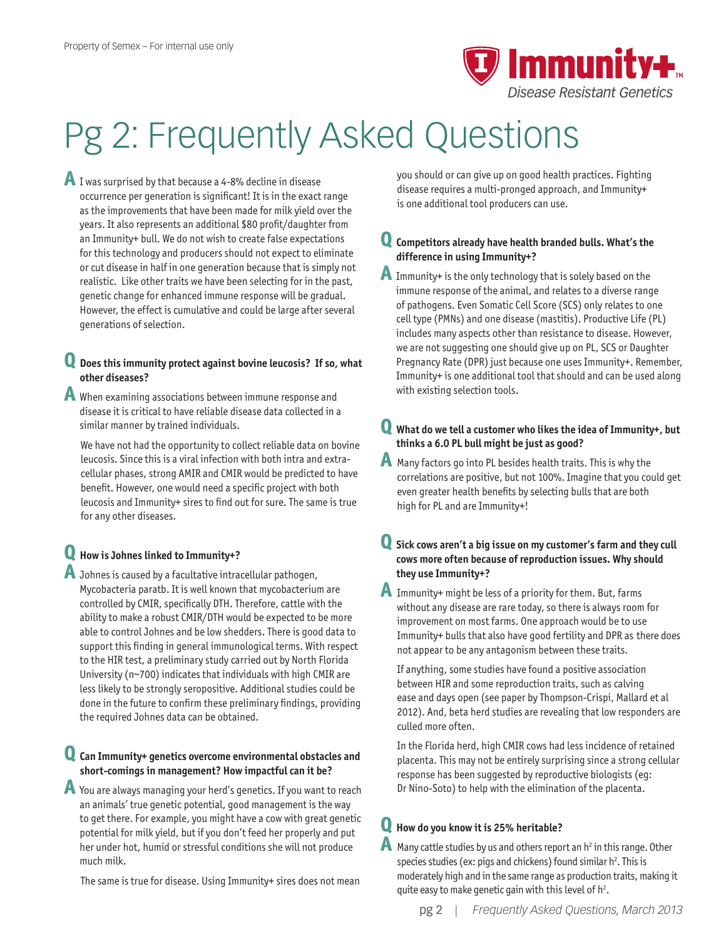

# Pg 2: Frequently Asked Questions

**A** I was surprised by that because a 4-8% decline in disease occurrence per generation is significant! It is in the exact range as the improvements that have been made for milk yield over the years. It also represents an additional \$80 profit/daughter from an Immunity+ bull. We do not wish to create false expectations for this technology and producers should not expect to eliminate or cut disease in half in one generation because that is simply not realistic. Like other traits we have been selecting for in the past, genetic change for enhanced immune response will be gradual. However, the effect is cumulative and could be large after several generations of selection.

### **Q Does this immunity protect against bovine leucosis? If so, what other diseases?**

- **A** When examining associations between immune response and disease it is critical to have reliable disease data collected in a similar manner by trained individuals.
	- We have not had the opportunity to collect reliable data on bovine leucosis. Since this is a viral infection with both intra and extracellular phases, strong AMIR and CMIR would be predicted to have benefit. However, one would need a specific project with both leucosis and Immunity+ sires to find out for sure. The same is true for any other diseases.

# **Q How is Johnes linked to Immunity+?**

**A** Johnes is caused by a facultative intracellular pathogen, Mycobacteria paratb. It is well known that mycobacterium are controlled by CMIR, specifically DTH. Therefore, cattle with the ability to make a robust CMIR/DTH would be expected to be more able to control Johnes and be low shedders. There is good data to support this finding in general immunological terms. With respect to the HIR test, a preliminary study carried out by North Florida University (n~700) indicates that individuals with high CMIR are less likely to be strongly seropositive. Additional studies could be done in the future to confirm these preliminary findings, providing the required Johnes data can be obtained.

## **Q Can Immunity+ genetics overcome environmental obstacles and short-comings in management? How impactful can it be?**

**A** You are always managing your herd's genetics. If you want to reach an animals' true genetic potential, good management is the way to get there. For example, you might have a cow with great genetic potential for milk yield, but if you don't feed her properly and put her under hot, humid or stressful conditions she will not produce much milk.

The same is true for disease. Using Immunity+ sires does not mean

you should or can give up on good health practices. Fighting disease requires a multi-pronged approach, and Immunity+ is one additional tool producers can use.

## **Q Competitors already have health branded bulls. What's the difference in using Immunity+?**

**A** Immunity+ is the only technology that is solely based on the immune response of the animal, and relates to a diverse range of pathogens. Even Somatic Cell Score (SCS) only relates to one cell type (PMNs) and one disease (mastitis). Productive Life (PL) includes many aspects other than resistance to disease. However, we are not suggesting one should give up on PL, SCS or Daughter Pregnancy Rate (DPR) just because one uses Immunity+. Remember, Immunity+ is one additional tool that should and can be used along with existing selection tools.

## **Q What do we tell a customer who likes the idea of Immunity+, but thinks a 6.0 PL bull might be just as good?**

**A** Many factors go into PL besides health traits. This is why the correlations are positive, but not 100%. Imagine that you could get even greater health benefits by selecting bulls that are both high for PL and are Immunity+!

#### **Q Sick cows aren't a big issue on my customer's farm and they cull cows more often because of reproduction issues. Why should they use Immunity+?**

**A** Immunity+ might be less of a priority for them. But, farms without any disease are rare today, so there is always room for improvement on most farms. One approach would be to use Immunity+ bulls that also have good fertility and DPR as there does not appear to be any antagonism between these traits.

If anything, some studies have found a positive association between HIR and some reproduction traits, such as calving ease and days open (see paper by Thompson-Crispi, Mallard et al 2012). And, beta herd studies are revealing that low responders are culled more often.

In the Florida herd, high CMIR cows had less incidence of retained placenta. This may not be entirely surprising since a strong cellular response has been suggested by reproductive biologists (eg: Dr Nino-Soto) to help with the elimination of the placenta.

# **Q How do you know it is 25% heritable?**

**A** Many cattle studies by us and others report an h<sup>2</sup> in this range. Other species studies (ex: pigs and chickens) found similar  $h^2$ . This is moderately high and in the same range as production traits, making it quite easy to make genetic gain with this level of  $h^2$ .